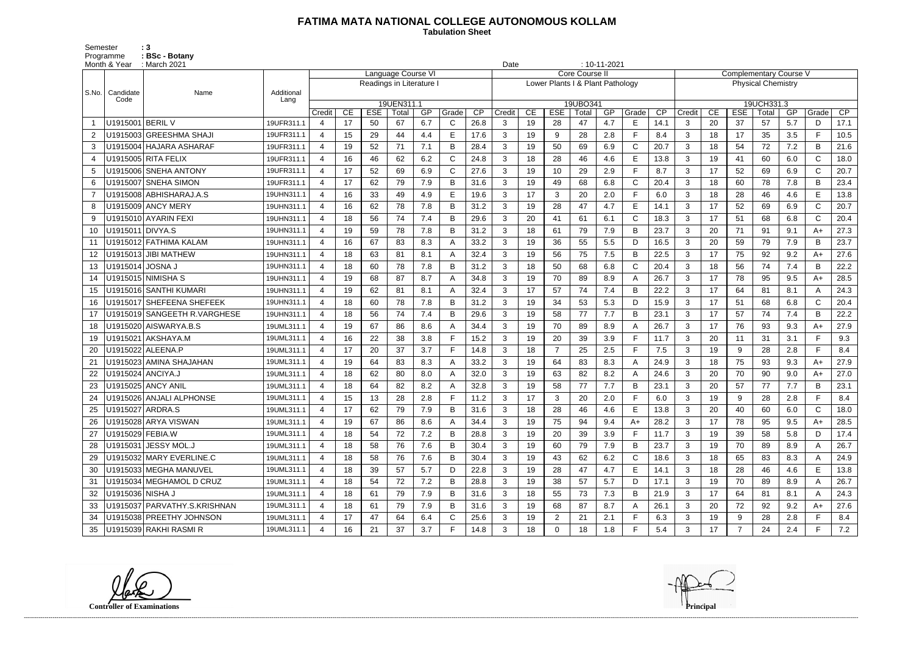## **FATIMA MATA NATIONAL COLLEGE AUTONOMOUS KOLLAM**

 **Tabulation Sheet** 

Semester : 3 Programme : **BSc - Botany** 

| Month & Year   |                   | : March 2021                  |                    |                          |    |            |                     |     |              |            |                |            | $: 10 - 11 - 2021$<br>Date<br><b>Core Course II</b><br><b>Complementary Course V</b> |                                  |       |              |        |              |            |                     |                           |       |               |                                                                                                                                                                                                                                                                              |  |  |  |  |  |  |  |  |
|----------------|-------------------|-------------------------------|--------------------|--------------------------|----|------------|---------------------|-----|--------------|------------|----------------|------------|--------------------------------------------------------------------------------------|----------------------------------|-------|--------------|--------|--------------|------------|---------------------|---------------------------|-------|---------------|------------------------------------------------------------------------------------------------------------------------------------------------------------------------------------------------------------------------------------------------------------------------------|--|--|--|--|--|--|--|--|
|                |                   |                               |                    |                          |    |            | Language Course VI  |     |              |            |                |            |                                                                                      |                                  |       |              |        |              |            |                     |                           |       |               |                                                                                                                                                                                                                                                                              |  |  |  |  |  |  |  |  |
|                |                   | Name                          |                    | Readings in Literature I |    |            |                     |     |              |            |                |            |                                                                                      | Lower Plants I & Plant Pathology |       |              |        |              |            |                     | <b>Physical Chemistry</b> |       |               | $\overline{CP}$<br>17.1<br>10.5<br>21.6<br>18.0<br>20.7<br>23.4<br>13.8<br>20.7<br>20.4<br>27.3<br>23.7<br>27.6<br>22.2<br>28.5<br>24.3<br>20.4<br>22.2<br>27.9<br>9.3<br>8.4<br>27.9<br>27.0<br>23.1<br>8.4<br>18.0<br>28.5<br>17.4<br>26.7<br>24.9<br>13.8<br>26.7<br>24.3 |  |  |  |  |  |  |  |  |
| S.No.          | Candidate<br>Code |                               | Additional<br>Lang |                          |    |            |                     |     |              |            |                |            |                                                                                      |                                  |       |              |        |              |            |                     |                           |       |               |                                                                                                                                                                                                                                                                              |  |  |  |  |  |  |  |  |
|                |                   |                               |                    | Credit                   | CE | <b>ESE</b> | 19UEN311.1<br>Total | GP  | Grade        | Credit     | CE             | <b>ESE</b> | 19UBO341<br>Total                                                                    | GP                               | Grade | CP           | Credit | CE           | <b>ESE</b> | 19UCH331.3<br>Total | GP                        | Grade |               |                                                                                                                                                                                                                                                                              |  |  |  |  |  |  |  |  |
|                | U1915001 BERIL V  |                               | 19UFR311.1         | 4                        | 17 | 50         | 67                  | 6.7 | C            | CP<br>26.8 | 3              | 19         | 28                                                                                   | 47                               | 4.7   | E            | 14.1   | 3            | 20         | 37                  | 57                        | 5.7   | D             |                                                                                                                                                                                                                                                                              |  |  |  |  |  |  |  |  |
| $\overline{2}$ |                   | U1915003 GREESHMA SHAJI       | 19UFR311.1         | $\overline{4}$           | 15 | 29         | 44                  | 4.4 | E            | 17.6       | 3              | 19         | 9                                                                                    | 28                               | 2.8   | E            | 8.4    | 3            | 18         | 17                  | 35                        | 3.5   | E.            |                                                                                                                                                                                                                                                                              |  |  |  |  |  |  |  |  |
| 3              |                   | U1915004 HAJARA ASHARAF       | 19UFR311.1         | $\overline{4}$           | 19 | 52         | 71                  | 7.1 | B            | 28.4       | 3              | 19         | 50                                                                                   | 69                               | 6.9   | $\mathsf{C}$ | 20.7   | 3            | 18         | 54                  | 72                        | 7.2   | B             |                                                                                                                                                                                                                                                                              |  |  |  |  |  |  |  |  |
| 4              |                   | U1915005 RITA FELIX           | 19UFR311.1         |                          | 16 | 46         | 62                  | 6.2 | C            | 24.8       | 3              | 18         | 28                                                                                   | 46                               | 4.6   | E            | 13.8   | 3            | 19         | 41                  | 60                        | 6.0   | $\mathsf{C}$  |                                                                                                                                                                                                                                                                              |  |  |  |  |  |  |  |  |
| 5              |                   | U1915006 SNEHA ANTONY         | 19UFR311.1         | $\overline{4}$           | 17 | 52         | 69                  | 6.9 | $\mathsf{C}$ | 27.6       | 3              | 19         | 10                                                                                   | 29                               | 2.9   | E            | 8.7    | 3            | 17         | 52                  | 69                        | 6.9   | $\mathcal{C}$ |                                                                                                                                                                                                                                                                              |  |  |  |  |  |  |  |  |
| 6              |                   | U1915007 SNEHA SIMON          | 19UFR311.1         | $\overline{4}$           | 17 | 62         | 79                  | 7.9 | B            | 31.6       | 3              | 19         | 49                                                                                   | 68                               | 6.8   | $\mathsf{C}$ | 20.4   | 3            | 18         | 60                  | 78                        | 7.8   | B             |                                                                                                                                                                                                                                                                              |  |  |  |  |  |  |  |  |
| $\overline{7}$ |                   | U1915008 ABHISHARAJ.A.S       | 19UHN311.1         | $\overline{4}$           | 16 | 33         | 49                  | 4.9 | E            | 19.6       | 3              | 17         | 3                                                                                    | 20                               | 2.0   | F            | 6.0    | 3            | 18         | 28                  | 46                        | 4.6   | E             |                                                                                                                                                                                                                                                                              |  |  |  |  |  |  |  |  |
| 8              |                   | U1915009 ANCY MERY            | 19UHN311.1         | $\boldsymbol{4}$         | 16 | 62         | 78                  | 7.8 | В            | 31.2       | 3              | 19         | 28                                                                                   | 47                               | 4.7   | E            | 14.1   | 3            | 17         | 52                  | 69                        | 6.9   | $\mathsf{C}$  |                                                                                                                                                                                                                                                                              |  |  |  |  |  |  |  |  |
| 9              |                   | U1915010 AYARIN FEXI          | 19UHN311.1         |                          | 18 | 56         | 74                  | 7.4 | B            | 29.6       | 3              | 20         | 41                                                                                   | 61                               | 6.1   | $\mathsf{C}$ | 18.3   | 3            | 17         | 51                  | 68                        | 6.8   |               |                                                                                                                                                                                                                                                                              |  |  |  |  |  |  |  |  |
| 10             | U1915011 DIVYA.S  |                               | 19UHN311.1         | $\overline{4}$           | 19 | 59         | 78                  | 7.8 | B            | 31.2       | 3              | 18         | 61                                                                                   | 79                               | 7.9   | B            | 23.7   | 3            | 20         | 71                  | 91                        | 9.1   | $A+$          |                                                                                                                                                                                                                                                                              |  |  |  |  |  |  |  |  |
| 11             |                   | U1915012 FATHIMA KALAM        | 19UHN311.1         |                          | 16 | 67         | 83                  | 8.3 |              | 33.2       | 3              | 19         | 36                                                                                   | 55                               | 5.5   | D            | 16.5   | 3            | 20         | 59                  | 79                        | 7.9   | B             |                                                                                                                                                                                                                                                                              |  |  |  |  |  |  |  |  |
| 12             |                   | U1915013 JIBI MATHEW          | 19UHN311.1         | $\overline{4}$           | 18 | 63         | 81                  | 8.1 |              | 32.4       | 3              | 19         | 56                                                                                   | 75                               | 7.5   | B            | 22.5   | 3            | 17         | 75                  | 92                        | 9.2   | $A+$          |                                                                                                                                                                                                                                                                              |  |  |  |  |  |  |  |  |
| 13             | U1915014 JOSNA J  |                               | 19UHN311.1         | 4                        | 18 | 60         | 78                  | 7.8 | B            | 31.2       | 3              | 18         | 50                                                                                   | 68                               | 6.8   | $\mathsf{C}$ | 20.4   | 3            | 18         | 56                  | 74                        | 7.4   | B             |                                                                                                                                                                                                                                                                              |  |  |  |  |  |  |  |  |
| 14             |                   | U1915015 NIMISHA S            | 19UHN311.1         |                          | 19 | 68         | 87                  | 8.7 | A            | 34.8       | 3              | 19         | 70                                                                                   | 89                               | 8.9   | A            | 26.7   | 3            | 17         | 78                  | 95                        | 9.5   | A+            |                                                                                                                                                                                                                                                                              |  |  |  |  |  |  |  |  |
| 15             |                   | U1915016 SANTHI KUMARI        | 19UHN311.1         | $\overline{4}$           | 19 | 62         | 81                  | 8.1 | Α            | 32.4       | 3              | 17         | 57                                                                                   | 74                               | 7.4   | B            | 22.2   | 3            | 17         | 64                  | 81                        | 8.1   |               |                                                                                                                                                                                                                                                                              |  |  |  |  |  |  |  |  |
| 16             |                   | U1915017 SHEFEENA SHEFEEK     | 19UHN311.1         |                          | 18 | 60         | 78                  | 7.8 | B            | 31.2       | 3              | 19         | 34                                                                                   | 53                               | 5.3   | D            | 15.9   | 3            | 17         | 51                  | 68                        | 6.8   | C.            |                                                                                                                                                                                                                                                                              |  |  |  |  |  |  |  |  |
| 17             |                   | U1915019 SANGEETH R. VARGHESE | 19UHN311.1         | $\overline{4}$           | 18 | 56         | 74                  | 7.4 | B            | 29.6       | 3              | 19         | 58                                                                                   | 77                               | 7.7   | B            | 23.1   | 3            | 17         | 57                  | 74                        | 7.4   | B             |                                                                                                                                                                                                                                                                              |  |  |  |  |  |  |  |  |
| 18             |                   | U1915020 AISWARYA.B.S         | 19UML311.1         | $\boldsymbol{4}$         | 19 | 67         | 86                  | 8.6 |              | 34.4       | 3              | 19         | 70                                                                                   | 89                               | 8.9   | A            | 26.7   | 3            | 17         | 76                  | 93                        | 9.3   | A+            |                                                                                                                                                                                                                                                                              |  |  |  |  |  |  |  |  |
| 19             |                   | U1915021 AKSHAYA.M            | 19UML311.1         |                          | 16 | 22         | 38                  | 3.8 | Е            | 15.2       | 3              | 19         | 20                                                                                   | 39                               | 3.9   | E            | 11.7   | 3            | 20         | 11                  | 31                        | 3.1   | E             |                                                                                                                                                                                                                                                                              |  |  |  |  |  |  |  |  |
| 20             |                   | U1915022 ALEENA.P             | 19UML311.1         | $\overline{4}$           | 17 | 20         | 37                  | 3.7 | E            | 14.8       | 3              | 18         | $\overline{7}$                                                                       | 25                               | 2.5   | $\mathsf{F}$ | 7.5    | 3            | 19         | 9                   | 28                        | 2.8   | F.            |                                                                                                                                                                                                                                                                              |  |  |  |  |  |  |  |  |
| 21             |                   | U1915023 AMINA SHAJAHAN       | 19UML311.1         | $\overline{4}$           | 19 | 64         | 83                  | 8.3 |              | 33.2       | 3              | 19         | 64                                                                                   | 83                               | 8.3   | A            | 24.9   | 3            | 18         | 75                  | 93                        | 9.3   | $A+$          |                                                                                                                                                                                                                                                                              |  |  |  |  |  |  |  |  |
| 22             |                   | U1915024 ANCIYA.J             | 19UML311.1         | $\overline{4}$           | 18 | 62         | 80                  | 8.0 | Α            | 32.0       | 3              | 19         | 63                                                                                   | 82                               | 8.2   | A            | 24.6   | 3            | 20         | 70                  | 90                        | 9.0   | $A+$          |                                                                                                                                                                                                                                                                              |  |  |  |  |  |  |  |  |
| 23             |                   | U1915025 ANCY ANIL            | 19UML311.1         | $\boldsymbol{4}$         | 18 | 64         | 82                  | 8.2 | А            | 32.8       | 3              | 19         | 58                                                                                   | 77                               | 7.7   | B            | 23.1   | 3            | 20         | 57                  | 77                        | 7.7   | B             |                                                                                                                                                                                                                                                                              |  |  |  |  |  |  |  |  |
| 24             |                   | U1915026 ANJALI ALPHONSE      | 19UML311.1         |                          | 15 | 13         | 28                  | 2.8 |              | 11.2       | 3              | 17         | 3                                                                                    | 20                               | 2.0   | F            | 6.0    | 3            | 19         | 9                   | 28                        | 2.8   |               |                                                                                                                                                                                                                                                                              |  |  |  |  |  |  |  |  |
| 25             | U1915027 ARDRA.S  |                               | 19UML311.1         | 4                        | 17 | 62         | 79                  | 7.9 | в            | 31.6       | 3              | 18         | 28                                                                                   | 46                               | 4.6   | Е            | 13.8   | 3            | 20         | 40                  | 60                        | 6.0   | C             |                                                                                                                                                                                                                                                                              |  |  |  |  |  |  |  |  |
|                |                   | U1915028 ARYA VISWAN          | 19UML311.1         |                          | 19 | 67         | 86                  | 8.6 |              | 34.4       | 3              | 19         | 75                                                                                   | 94                               | 9.4   | A+           | 28.2   | 3            | 17         | 78                  | 95                        | 9.5   | A+            |                                                                                                                                                                                                                                                                              |  |  |  |  |  |  |  |  |
| 27             | U1915029 FEBIA.W  |                               | 19UML311.1         | $\overline{4}$           | 18 | 54         | 72                  | 7.2 | B            | 28.8       | 3              | 19         | 20                                                                                   | 39                               | 3.9   | F.           | 11.7   | $\mathbf{3}$ | 19         | 39                  | 58                        | 5.8   | D             |                                                                                                                                                                                                                                                                              |  |  |  |  |  |  |  |  |
|                |                   | U1915031 JESSY MOL.J          | 19UML311.1         | $\overline{4}$           | 18 | 58         | 76                  | 7.6 | B            | 30.4       | 3 <sup>1</sup> | 19         | 60                                                                                   | 79                               | 7.9   | B            | 23.7   | 3            | 19         | 70                  | 89                        | 8.9   |               |                                                                                                                                                                                                                                                                              |  |  |  |  |  |  |  |  |
| 29             |                   | U1915032 MARY EVERLINE.C      | 19UML311.1         | $\overline{4}$           | 18 | 58         | 76                  | 7.6 | B            | 30.4       | 3              | 19         | 43                                                                                   | 62                               | 6.2   | C            | 18.6   | $\mathbf{3}$ | 18         | 65                  | 83                        | 8.3   |               |                                                                                                                                                                                                                                                                              |  |  |  |  |  |  |  |  |
| 30             |                   | U1915033 MEGHA MANUVEL        | 19UML311.1         | $\overline{4}$           | 18 | 39         | 57                  | 5.7 | D            | 22.8       | $\mathbf{3}$   | 19         | 28                                                                                   | 47                               | 4.7   | E            | 14.1   | 3            | 18         | 28                  | 46                        | 4.6   | E.            |                                                                                                                                                                                                                                                                              |  |  |  |  |  |  |  |  |
| 31             |                   | U1915034 MEGHAMOL D CRUZ      | 19UML311.1         |                          | 18 | 54         | 72                  | 7.2 | B            | 28.8       | 3              | 19         | 38                                                                                   | 57                               | 5.7   | D            | 17.1   | 3            | 19         | 70                  | 89                        | 8.9   |               |                                                                                                                                                                                                                                                                              |  |  |  |  |  |  |  |  |
| 32             | U1915036 NISHA J  |                               | 19UML311.1         | $\overline{4}$           | 18 | 61         | 79                  | 7.9 | B            | 31.6       | 3 <sup>1</sup> | 18         | 55                                                                                   | 73                               | 7.3   | B            | 21.9   | 3            | 17         | 64                  | 81                        | 8.1   | A             |                                                                                                                                                                                                                                                                              |  |  |  |  |  |  |  |  |
| 33             |                   | U1915037 PARVATHY.S.KRISHNAN  | 19UML311.1         | 4                        | 18 | 61         | 79                  | 7.9 | B            | 31.6       | 3              | 19         | 68                                                                                   | 87                               | 8.7   | A            | 26.1   | 3            | 20         | 72                  | 92                        | 9.2   | $A+$          | 27.6                                                                                                                                                                                                                                                                         |  |  |  |  |  |  |  |  |
| 34             |                   | U1915038 PREETHY JOHNSON      | 19UML311.1         | $\overline{4}$           | 17 | 47         | 64                  | 6.4 | C            | 25.6       | 3              | 19         | $\overline{2}$                                                                       | 21                               | 2.1   | F            | 6.3    | $\mathbf{3}$ | 19         | 9                   | 28                        | 2.8   |               | 8.4                                                                                                                                                                                                                                                                          |  |  |  |  |  |  |  |  |
| 35             |                   | U1915039 RAKHI RASMI R        | 19UML311.1         |                          | 16 | 21         | 37                  | 3.7 | F.           | 14.8       | 3 <sup>1</sup> | 18         | $\mathbf 0$                                                                          | 18                               | 1.8   | E            | 5.4    | $\mathbf{3}$ | 17         | $\overline{7}$      | 24                        | 2.4   | F.            | 7.2                                                                                                                                                                                                                                                                          |  |  |  |  |  |  |  |  |

**Controller of Examinations**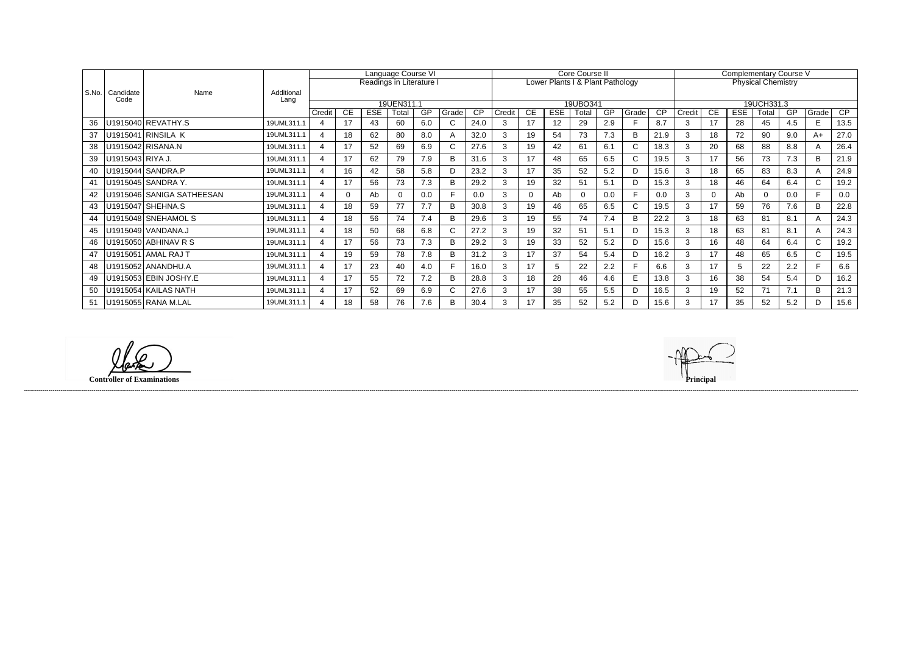|       | Candidate<br>Code | Name                      | Additional<br>Lang | Language Course VI       |                          |     |       |     |       |      |        |          |            | Core Course II                   |     |       |      | <b>Complementary Course V</b> |    |            |                           |     |       |                 |  |  |
|-------|-------------------|---------------------------|--------------------|--------------------------|--------------------------|-----|-------|-----|-------|------|--------|----------|------------|----------------------------------|-----|-------|------|-------------------------------|----|------------|---------------------------|-----|-------|-----------------|--|--|
|       |                   |                           |                    |                          | Readings in Literature I |     |       |     |       |      |        |          |            | Lower Plants I & Plant Pathology |     |       |      |                               |    |            | <b>Physical Chemistry</b> |     |       |                 |  |  |
| S.No. |                   |                           |                    |                          |                          |     |       |     |       |      |        |          |            |                                  |     |       |      |                               |    |            |                           |     |       |                 |  |  |
|       |                   |                           |                    | 19UEN311.1               |                          |     |       |     |       |      |        |          |            | 19UBO341                         |     |       |      |                               |    |            | 19UCH331.3                |     |       |                 |  |  |
|       |                   |                           |                    | Credit                   | CE                       | ESE | Total | GP  | Grade | CP   | Credit | CE       | <b>ESE</b> | Total                            | GP  | Grade | CP   | Credit                        | CE | <b>ESE</b> | Total                     | GP  | Grade | $\overline{CP}$ |  |  |
| 36    |                   | U1915040 REVATHY.S        | 19UML311.1         | 4                        | 17                       | 43  | 60    | 6.0 |       | 24.0 |        | 17       | 12         | 29                               | 2.9 |       | 8.7  | 3                             | 17 | 28         | 45                        | 4.5 | F.    | 13.5            |  |  |
| 37    |                   | U1915041 RINSILA K        | 19UML311.1         | $\overline{\mathcal{A}}$ | 18                       | 62  | 80    | 8.0 |       | 32.0 | 3      | 19       | 54         | 73                               | 7.3 | B     | 21.9 | 3                             | 18 | 72         | 90                        | 9.0 | A+    | 27.0            |  |  |
| 38    |                   | U1915042 RISANA.N         | 19UML311.1         | $\overline{4}$           | 17                       | 52  | 69    | 6.9 |       | 27.6 | 3      | 19       | 42         | 61                               | 6.1 | C     | 18.3 | 3                             | 20 | 68         | 88                        | 8.8 |       | 26.4            |  |  |
| 39    | U1915043 RIYA J.  |                           | 19UML311.1         | $\boldsymbol{\Delta}$    | 17                       | 62  | 79    | 7.9 | B     | 31.6 | 3      | 17       | 48         | 65                               | 6.5 | C.    | 19.5 | 3                             | 17 | 56         | 73                        | 7.3 | B     | 21.9            |  |  |
| 40    |                   | U1915044 SANDRA.P         | 19UML311.1         | $\boldsymbol{\Delta}$    | 16                       | 42  | 58    | 5.8 | D     | 23.2 | 3      | 17       | 35         | 52                               | 5.2 | D     | 15.6 | 3                             | 18 | 65         | 83                        | 8.3 |       | 24.9            |  |  |
| 41    |                   | U1915045 SANDRA Y.        | 19UML311.1         | $\overline{\mathcal{A}}$ | 17                       | 56  | 73    | 7.3 |       | 29.2 | 3      | 19       | 32         | 51                               | 5.1 | D     | 15.3 | 3                             | 18 | 46         | 64                        | 6.4 | C.    | 19.2            |  |  |
| 42    |                   | U1915046 SANIGA SATHEESAN | 19UML311.1         | $\boldsymbol{\varDelta}$ |                          | Ab  |       | 0.0 |       | 0.0  | 3      | $\Omega$ | Ab         | $\overline{0}$                   | 0.0 | F.    | 0.0  | 3                             |    | Ab         |                           | 0.0 |       | 0.0             |  |  |
| 43    |                   | U1915047   SHEHNA.S       | 19UML311.1         | $\boldsymbol{\Delta}$    | 18                       | 59  | 77    | 7.7 | R     | 30.8 | 3      | 19       | 46         | 65                               | 6.5 | C.    | 19.5 | 3                             | 17 | 59         | 76                        | 7.6 | B.    | 22.8            |  |  |
| 44    |                   | U1915048 SNEHAMOL S       | 19UML311.1         | $\boldsymbol{\varDelta}$ | 18                       | 56  | 74    | 7.4 |       | 29.6 | 3      | 19       | 55         | 74                               | 7.4 | B     | 22.2 | 3                             | 18 | 63         | 81                        | 8.1 |       | 24.3            |  |  |
| 45    |                   | U1915049   VANDANA.J      | 19UML311.1         | $\boldsymbol{\Delta}$    | 18                       | 50  | 68    | 6.8 |       | 27.2 | 3      | 19       | 32         | 51                               | 5.1 | D     | 15.3 | 3                             | 18 | 63         | 81                        | 8.1 |       | 24.3            |  |  |
| 46    |                   | U1915050   ABHINAV R S    | 19UML311.1         | $\overline{\mathcal{A}}$ | 17                       | 56  | 73    | 7.3 |       | 29.2 | 3      | 19       | 33         | 52                               | 5.2 | D     | 15.6 | 3                             | 16 | 48         | 64                        | 6.4 |       | 19.2            |  |  |
| 47    |                   | U1915051 AMAL RAJ T       | 19UML311.1         | $\boldsymbol{\Delta}$    | 19                       | 59  | 78    | 7.8 | B     | 31.2 | 3      | 17       | 37         | 54                               | 5.4 | D     | 16.2 | 3                             | 17 | 48         | 65                        | 6.5 | C.    | 19.5            |  |  |
| 48    |                   | U1915052 ANANDHU.A        | 19UML311.1         | 4                        | 17                       | 23  | 40    | 4.0 |       | 16.0 | 3      | 17       |            | 22                               | 2.2 |       | 6.6  | 3                             | 17 |            | 22                        | 2.2 |       | 6.6             |  |  |
| 49    |                   | U1915053 EBIN JOSHY.E     | 19UML311.1         |                          | 17                       | 55  | 72    | 7.2 | R     | 28.8 | 3      | 18       | 28         | 46                               | 4.6 | E     | 13.8 | 3                             | 16 | 38         | 54                        | 5.4 | D.    | 16.2            |  |  |
| 50    |                   | U1915054 KAILAS NATH      | 19UML311.1         |                          | 17                       | 52  | 69    | 6.9 |       | 27.6 | 3      | 17       | 38         | 55                               | 5.5 | D     | 16.5 | 3                             | 19 | 52         |                           | 7.1 | B     | 21.3            |  |  |
| 51    |                   | U1915055 RANA M.LAL       | 19UML311.1         | $\boldsymbol{\Delta}$    | 18                       | 58  | 76    | 7.6 | B     | 30.4 | 3      | 17       | 35         | 52                               | 5.2 | D     | 15.6 | 3                             | 17 | 35         | 52                        | 5.2 |       | 15.6            |  |  |

(D **Controller of Examinations** 

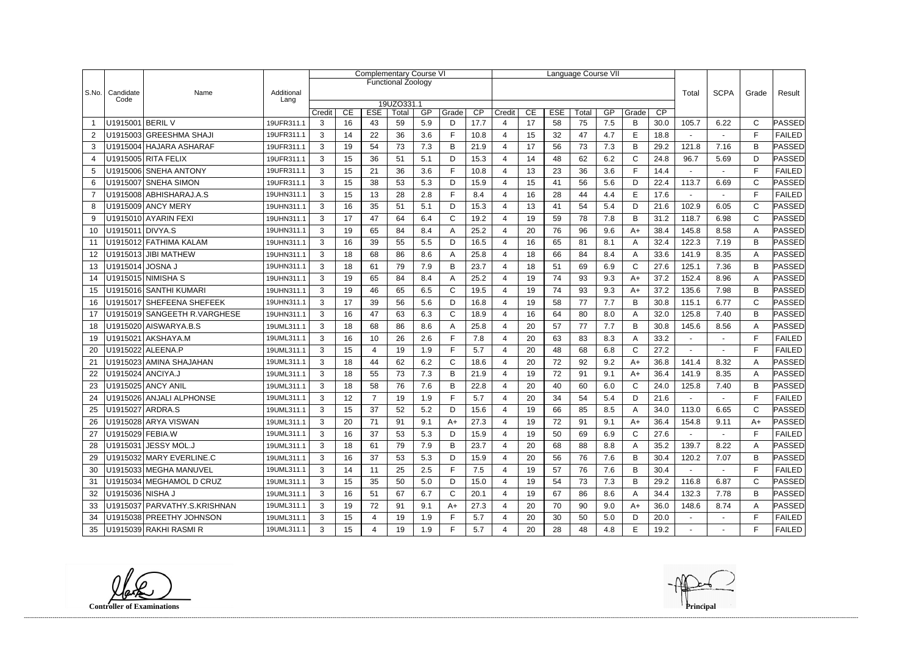|                |                   |                              |                    |        |    | <b>Complementary Course VI</b> |                           |     |              |                 |                       |    |            | Language Course VII |     |              |             |                |                |              |               |
|----------------|-------------------|------------------------------|--------------------|--------|----|--------------------------------|---------------------------|-----|--------------|-----------------|-----------------------|----|------------|---------------------|-----|--------------|-------------|----------------|----------------|--------------|---------------|
|                |                   |                              |                    |        |    |                                | <b>Functional Zoology</b> |     |              |                 |                       |    |            |                     |     |              |             |                |                |              |               |
| S.No.          | Candidate<br>Code | Name                         | Additional<br>Lang |        |    |                                |                           |     |              |                 |                       |    |            |                     |     | Total        | <b>SCPA</b> | Grade          | Result         |              |               |
|                |                   |                              |                    | Credit | CE | <b>ESE</b>                     | 19UZO331.1<br>Total       | GP  | Grade        | $\overline{CP}$ | Credit                | CE | <b>ESE</b> | Total               | GP  | Grade        | CP          |                |                |              |               |
|                | U1915001 BERIL V  |                              | 19UFR311.1         | 3      | 16 | 43                             | 59                        | 5.9 | D            | 17.7            | 4                     | 17 | 58         | 75                  | 7.5 | B            | 30.0        | 105.7          | 6.22           | $\mathsf{C}$ | PASSED        |
| $\overline{2}$ |                   | U1915003 GREESHMA SHAJI      | 19UFR311.1         | 3      | 14 | 22                             | 36                        | 3.6 | F            | 10.8            | 4                     | 15 | 32         | 47                  | 4.7 | E            | 18.8        |                | $\blacksquare$ | F            | <b>FAILED</b> |
| 3              |                   | U1915004 HAJARA ASHARAF      | 19UFR311.1         | 3      | 19 | 54                             | 73                        | 7.3 | В            | 21.9            | 4                     | 17 | 56         | 73                  | 7.3 | B            | 29.2        | 121.8          | 7.16           | B            | PASSED        |
| $\overline{4}$ |                   | U1915005 RITA FELIX          | 19UFR311.1         | 3      | 15 | 36                             | 51                        | 5.1 | D            | 15.3            | $\boldsymbol{\Delta}$ | 14 | 48         | 62                  | 6.2 | $\mathsf{C}$ | 24.8        | 96.7           | 5.69           | D            | PASSED        |
| 5              |                   | U1915006 SNEHA ANTONY        | 19UFR311.1         | 3      | 15 | 21                             | 36                        | 3.6 | F            | 10.8            | 4                     | 13 | 23         | 36                  | 3.6 | F.           | 14.4        |                | $\sim$         | E            | <b>FAILED</b> |
| 6              |                   | U1915007 SNEHA SIMON         | 19UFR311.1         | 3      | 15 | 38                             | 53                        | 5.3 | D            | 15.9            | 4                     | 15 | 41         | 56                  | 5.6 | D            | 22.4        | 113.7          | 6.69           | $\mathsf{C}$ | PASSED        |
| $\overline{7}$ |                   | U1915008 ABHISHARAJ.A.S      | 19UHN311.1         | 3      | 15 | 13                             | 28                        | 2.8 | F            | 8.4             | 4                     | 16 | 28         | 44                  | 4.4 | E            | 17.6        |                |                | F            | <b>FAILED</b> |
| 8              |                   | U1915009 ANCY MERY           | 19UHN311.1         | 3      | 16 | 35                             | 51                        | 5.1 | D            | 15.3            | 4                     | 13 | 41         | 54                  | 5.4 | D            | 21.6        | 102.9          | 6.05           | C            | ∣PASSED       |
| 9              |                   | U1915010 AYARIN FEXI         | 19UHN311.1         | 3      | 17 | 47                             | 64                        | 6.4 | $\mathsf{C}$ | 19.2            | 4                     | 19 | 59         | 78                  | 7.8 | B            | 31.2        | 118.7          | 6.98           | C            | ∣PASSED       |
| 10             | U1915011 DIVYA.S  |                              | 19UHN311.1         | 3      | 19 | 65                             | 84                        | 8.4 | A            | 25.2            | 4                     | 20 | 76         | 96                  | 9.6 | $A+$         | 38.4        | 145.8          | 8.58           | A            | <b>PASSED</b> |
| 11             |                   | U1915012 FATHIMA KALAM       | 19UHN311.1         | 3      | 16 | 39                             | 55                        | 5.5 | D            | 16.5            | 4                     | 16 | 65         | 81                  | 8.1 | A            | 32.4        | 122.3          | 7.19           | B            | PASSED        |
| 12             |                   | U1915013 JIBI MATHEW         | 19UHN311.1         | 3      | 18 | 68                             | 86                        | 8.6 | A            | 25.8            | 4                     | 18 | 66         | 84                  | 8.4 | A            | 33.6        | 141.9          | 8.35           | Α            | PASSED        |
| 13             | U1915014 JOSNA J  |                              | 19UHN311.1         | 3      | 18 | 61                             | 79                        | 7.9 | В            | 23.7            | 4                     | 18 | 51         | 69                  | 6.9 | $\mathsf{C}$ | 27.6        | 125.1          | 7.36           | B            | PASSED        |
| 14             |                   | U1915015 NIMISHA S           | 19UHN311.1         | 3      | 19 | 65                             | 84                        | 8.4 | A            | 25.2            | 4                     | 19 | 74         | 93                  | 9.3 | $A+$         | 37.2        | 152.4          | 8.96           | Α            | PASSED        |
| 15             |                   | U1915016 SANTHI KUMARI       | 19UHN311.1         | 3      | 19 | 46                             | 65                        | 6.5 | $\mathsf{C}$ | 19.5            | 4                     | 19 | 74         | 93                  | 9.3 | $A+$         | 37.2        | 135.6          | 7.98           | B            | <b>PASSED</b> |
| 16             |                   | U1915017 SHEFEENA SHEFEEK    | 19UHN311.1         | 3      | 17 | 39                             | 56                        | 5.6 | D            | 16.8            | 4                     | 19 | 58         | 77                  | 7.7 | B            | 30.8        | 115.1          | 6.77           | $\mathsf{C}$ | PASSED        |
| 17             |                   | U1915019 SANGEETH R.VARGHESE | 19UHN311.1         | 3      | 16 | 47                             | 63                        | 6.3 | $\mathsf{C}$ | 18.9            | 4                     | 16 | 64         | 80                  | 8.0 | A            | 32.0        | 125.8          | 7.40           | B            | PASSED        |
| 18             |                   | U1915020 AISWARYA.B.S        | 19UML311.1         | 3      | 18 | 68                             | 86                        | 8.6 | A            | 25.8            | 4                     | 20 | 57         | 77                  | 7.7 | B            | 30.8        | 145.6          | 8.56           | Α            | ∣PASSED       |
| 19             |                   | U1915021 AKSHAYA.M           | 19UML311.1         | 3      | 16 | 10                             | 26                        | 2.6 | F            | 7.8             | 4                     | 20 | 63         | 83                  | 8.3 | $\mathsf{A}$ | 33.2        |                |                | F            | <b>FAILED</b> |
| 20             |                   | U1915022 ALEENA.P            | 19UML311.1         | 3      | 15 | 4                              | 19                        | 1.9 | F            | 5.7             | 4                     | 20 | 48         | 68                  | 6.8 | $\mathsf{C}$ | 27.2        |                |                | E            | <b>FAILED</b> |
| 21             |                   | U1915023 AMINA SHAJAHAN      | 19UML311.1         | 3      | 18 | 44                             | 62                        | 6.2 | $\mathsf C$  | 18.6            | 4                     | 20 | 72         | 92                  | 9.2 | $A+$         | 36.8        | 141.4          | 8.32           | A            | PASSED        |
| 22             |                   | U1915024 ANCIYA.J            | 19UML311.1         | 3      | 18 | 55                             | 73                        | 7.3 | B            | 21.9            | 4                     | 19 | 72         | 91                  | 9.1 | $A+$         | 36.4        | 141.9          | 8.35           | A            | PASSED        |
| 23             |                   | U1915025 ANCY ANIL           | 19UML311.1         | 3      | 18 | 58                             | 76                        | 7.6 | B            | 22.8            | 4                     | 20 | 40         | 60                  | 6.0 | $\mathsf{C}$ | 24.0        | 125.8          | 7.40           | B            | PASSED        |
| 24             |                   | U1915026 ANJALI ALPHONSE     | 19UML311.1         | 3      | 12 | $\overline{7}$                 | 19                        | 1.9 | E            | 5.7             | 4                     | 20 | 34         | 54                  | 5.4 | D            | 21.6        |                |                | E            | <b>FAILED</b> |
| 25             | U1915027 ARDRA.S  |                              | 19UML311.1         | 3      | 15 | 37                             | 52                        | 52  | D            | 15.6            | Δ                     | 19 | 66         | 85                  | 8.5 | Α            | 340         | 113.0          | 6.65           | C            | PASSED        |
| 26             |                   | U1915028 ARYA VISWAN         | 19UML311.1         | 3      | 20 | 71                             | 91                        | 9.1 | $A+$         | 27.3            | 4                     | 19 | 72         | 91                  | 9.1 | A+           | 36.4        | 154.8          | 9.11           | $A+$         | PASSED        |
| 27             | U1915029 FEBIA.W  |                              | 19UML311.1         | 3      | 16 | 37                             | 53                        | 5.3 | D            | 15.9            | 4                     | 19 | 50         | 69                  | 6.9 | $\mathsf{C}$ | 27.6        | $\sim$         | $\sim$         | F            | <b>FAILED</b> |
| 28             |                   | U1915031 JESSY MOL.J         | 19UML311.1         | 3      | 18 | 61                             | 79                        | 7.9 | B            | 23.7            | 4                     | 20 | 68         | 88                  | 8.8 | A            | 35.2        | 139.7          | 8.22           | A            | PASSED        |
| 29             |                   | U1915032 MARY EVERLINE.C     | 19UML311.1         | 3      | 16 | 37                             | 53                        | 5.3 | D            | 15.9            | 4                     | 20 | 56         | 76                  | 7.6 | B            | 30.4        | 120.2          | 7.07           | B            | PASSED        |
| 30             |                   | U1915033 MEGHA MANUVEL       | 19UML311.1         | 3      | 14 | 11                             | 25                        | 2.5 | F.           | 7.5             | 4                     | 19 | 57         | 76                  | 7.6 | B            | 30.4        | $\sim$         | $\sim$         | F            | <b>FAILED</b> |
| 31             |                   | U1915034 MEGHAMOL D CRUZ     | 19UML311.1         | 3      | 15 | 35                             | 50                        | 5.0 | D            | 15.0            | 4                     | 19 | 54         | 73                  | 7.3 | B            | 29.2        | 116.8          | 6.87           | $\mathsf{C}$ | PASSED        |
| 32             | U1915036 NISHA J  |                              | 19UML311.1         | 3      | 16 | 51                             | 67                        | 6.7 | C            | 20.1            | 4                     | 19 | 67         | 86                  | 8.6 | A            | 34.4        | 132.3          | 7.78           | В            | PASSED        |
| 33             |                   | U1915037 PARVATHY.S.KRISHNAN | 19UML311.1         | 3      | 19 | 72                             | 91                        | 9.1 | A+           | 27.3            | 4                     | 20 | 70         | 90                  | 9.0 | $A+$         | 36.0        | 148.6          | 8.74           | A            | PASSED        |
| 34             |                   | U1915038 PREETHY JOHNSON     | 19UML311.1         | 3      | 15 | 4                              | 19                        | 1.9 | F            | 5.7             | 4                     | 20 | 30         | 50                  | 5.0 | D            | 20.0        | $\sim$         | $\sim$         | F            | <b>FAILED</b> |
| 35             |                   | U1915039 RAKHI RASMI R       | 19UML311.1         | 3      | 15 | 4                              | 19                        | 1.9 | F.           | 5.7             | 4                     | 20 | 28         | 48                  | 4.8 | Е            | 19.2        | $\blacksquare$ | $\blacksquare$ | F            | <b>FAILED</b> |

**Controller of Examinations Principal**